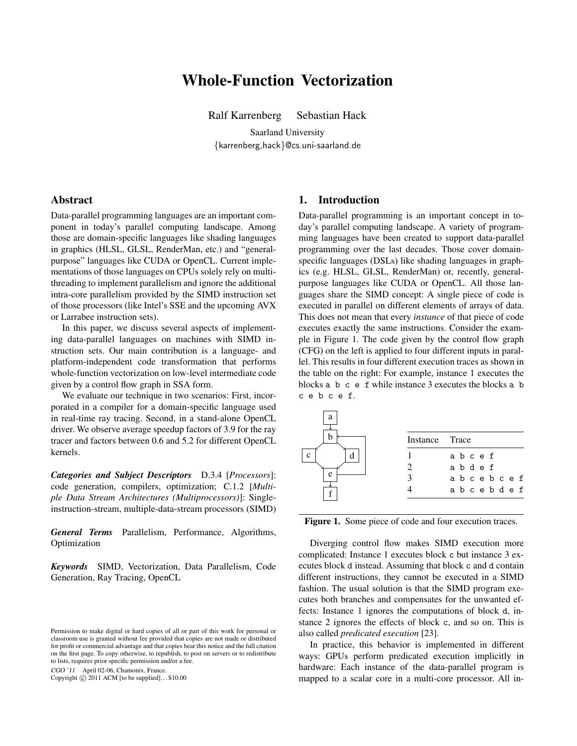# Whole-Function Vectorization

Ralf Karrenberg Sebastian Hack

Saarland University {karrenberg,hack}@cs.uni-saarland.de

## Abstract

Data-parallel programming languages are an important component in today's parallel computing landscape. Among those are domain-specific languages like shading languages in graphics (HLSL, GLSL, RenderMan, etc.) and "generalpurpose" languages like CUDA or OpenCL. Current implementations of those languages on CPUs solely rely on multithreading to implement parallelism and ignore the additional intra-core parallelism provided by the SIMD instruction set of those processors (like Intel's SSE and the upcoming AVX or Larrabee instruction sets).

In this paper, we discuss several aspects of implementing data-parallel languages on machines with SIMD instruction sets. Our main contribution is a language- and platform-independent code transformation that performs whole-function vectorization on low-level intermediate code given by a control flow graph in SSA form.

We evaluate our technique in two scenarios: First, incorporated in a compiler for a domain-specific language used in real-time ray tracing. Second, in a stand-alone OpenCL driver. We observe average speedup factors of 3.9 for the ray tracer and factors between 0.6 and 5.2 for different OpenCL kernels.

*Categories and Subject Descriptors* D.3.4 [*Processors*]: code generation, compilers, optimization; C.1.2 [*Multiple Data Stream Architectures (Multiprocessors)*]: Singleinstruction-stream, multiple-data-stream processors (SIMD)

*General Terms* Parallelism, Performance, Algorithms, Optimization

*Keywords* SIMD, Vectorization, Data Parallelism, Code Generation, Ray Tracing, OpenCL

CGO '11 April 02-06, Chamonix, France.

Copyright  $\odot$  2011 ACM [to be supplied]...\$10.00

## 1. Introduction

Data-parallel programming is an important concept in today's parallel computing landscape. A variety of programming languages have been created to support data-parallel programming over the last decades. Those cover domainspecific languages (DSLs) like shading languages in graphics (e.g. HLSL, GLSL, RenderMan) or, recently, generalpurpose languages like CUDA or OpenCL. All those languages share the SIMD concept: A single piece of code is executed in parallel on different elements of arrays of data. This does not mean that every *instance* of that piece of code executes exactly the same instructions. Consider the example in Figure 1. The code given by the control flow graph (CFG) on the left is applied to four different inputs in parallel. This results in four different execution traces as shown in the table on the right: For example, instance 1 executes the blocks a b c e f while instance 3 executes the blocks a b c e b c e f.



Figure 1. Some piece of code and four execution traces.

Diverging control flow makes SIMD execution more complicated: Instance 1 executes block c but instance 3 executes block d instead. Assuming that block c and d contain different instructions, they cannot be executed in a SIMD fashion. The usual solution is that the SIMD program executes both branches and compensates for the unwanted effects: Instance 1 ignores the computations of block d, instance 2 ignores the effects of block c, and so on. This is also called *predicated execution* [23].

In practice, this behavior is implemented in different ways: GPUs perform predicated execution implicitly in hardware: Each instance of the data-parallel program is mapped to a scalar core in a multi-core processor. All in-

Permission to make digital or hard copies of all or part of this work for personal or classroom use is granted without fee provided that copies are not made or distributed for profit or commercial advantage and that copies bear this notice and the full citation on the first page. To copy otherwise, to republish, to post on servers or to redistribute to lists, requires prior specific permission and/or a fee.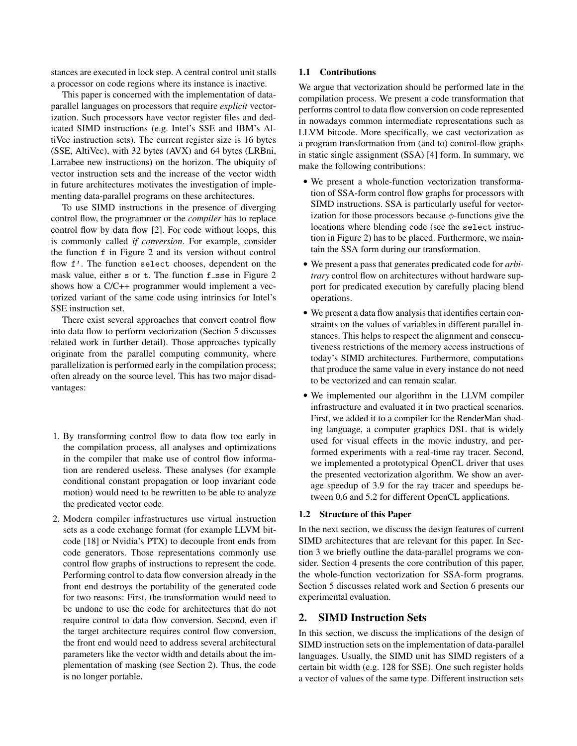stances are executed in lock step. A central control unit stalls a processor on code regions where its instance is inactive.

This paper is concerned with the implementation of dataparallel languages on processors that require *explicit* vectorization. Such processors have vector register files and dedicated SIMD instructions (e.g. Intel's SSE and IBM's AltiVec instruction sets). The current register size is 16 bytes (SSE, AltiVec), with 32 bytes (AVX) and 64 bytes (LRBni, Larrabee new instructions) on the horizon. The ubiquity of vector instruction sets and the increase of the vector width in future architectures motivates the investigation of implementing data-parallel programs on these architectures.

To use SIMD instructions in the presence of diverging control flow, the programmer or the *compiler* has to replace control flow by data flow [2]. For code without loops, this is commonly called *if conversion*. For example, consider the function f in Figure 2 and its version without control flow f'. The function select chooses, dependent on the mask value, either s or t. The function f sse in Figure 2 shows how a C/C++ programmer would implement a vectorized variant of the same code using intrinsics for Intel's SSE instruction set.

There exist several approaches that convert control flow into data flow to perform vectorization (Section 5 discusses related work in further detail). Those approaches typically originate from the parallel computing community, where parallelization is performed early in the compilation process; often already on the source level. This has two major disadvantages:

- 1. By transforming control flow to data flow too early in the compilation process, all analyses and optimizations in the compiler that make use of control flow information are rendered useless. These analyses (for example conditional constant propagation or loop invariant code motion) would need to be rewritten to be able to analyze the predicated vector code.
- 2. Modern compiler infrastructures use virtual instruction sets as a code exchange format (for example LLVM bitcode [18] or Nvidia's PTX) to decouple front ends from code generators. Those representations commonly use control flow graphs of instructions to represent the code. Performing control to data flow conversion already in the front end destroys the portability of the generated code for two reasons: First, the transformation would need to be undone to use the code for architectures that do not require control to data flow conversion. Second, even if the target architecture requires control flow conversion, the front end would need to address several architectural parameters like the vector width and details about the implementation of masking (see Section 2). Thus, the code is no longer portable.

## 1.1 Contributions

We argue that vectorization should be performed late in the compilation process. We present a code transformation that performs control to data flow conversion on code represented in nowadays common intermediate representations such as LLVM bitcode. More specifically, we cast vectorization as a program transformation from (and to) control-flow graphs in static single assignment (SSA) [4] form. In summary, we make the following contributions:

- We present a whole-function vectorization transformation of SSA-form control flow graphs for processors with SIMD instructions. SSA is particularly useful for vectorization for those processors because  $\phi$ -functions give the locations where blending code (see the select instruction in Figure 2) has to be placed. Furthermore, we maintain the SSA form during our transformation.
- We present a pass that generates predicated code for *arbitrary* control flow on architectures without hardware support for predicated execution by carefully placing blend operations.
- We present a data flow analysis that identifies certain constraints on the values of variables in different parallel instances. This helps to respect the alignment and consecutiveness restrictions of the memory access instructions of today's SIMD architectures. Furthermore, computations that produce the same value in every instance do not need to be vectorized and can remain scalar.
- We implemented our algorithm in the LLVM compiler infrastructure and evaluated it in two practical scenarios. First, we added it to a compiler for the RenderMan shading language, a computer graphics DSL that is widely used for visual effects in the movie industry, and performed experiments with a real-time ray tracer. Second, we implemented a prototypical OpenCL driver that uses the presented vectorization algorithm. We show an average speedup of 3.9 for the ray tracer and speedups between 0.6 and 5.2 for different OpenCL applications.

#### 1.2 Structure of this Paper

In the next section, we discuss the design features of current SIMD architectures that are relevant for this paper. In Section 3 we briefly outline the data-parallel programs we consider. Section 4 presents the core contribution of this paper, the whole-function vectorization for SSA-form programs. Section 5 discusses related work and Section 6 presents our experimental evaluation.

# 2. SIMD Instruction Sets

In this section, we discuss the implications of the design of SIMD instruction sets on the implementation of data-parallel languages. Usually, the SIMD unit has SIMD registers of a certain bit width (e.g. 128 for SSE). One such register holds a vector of values of the same type. Different instruction sets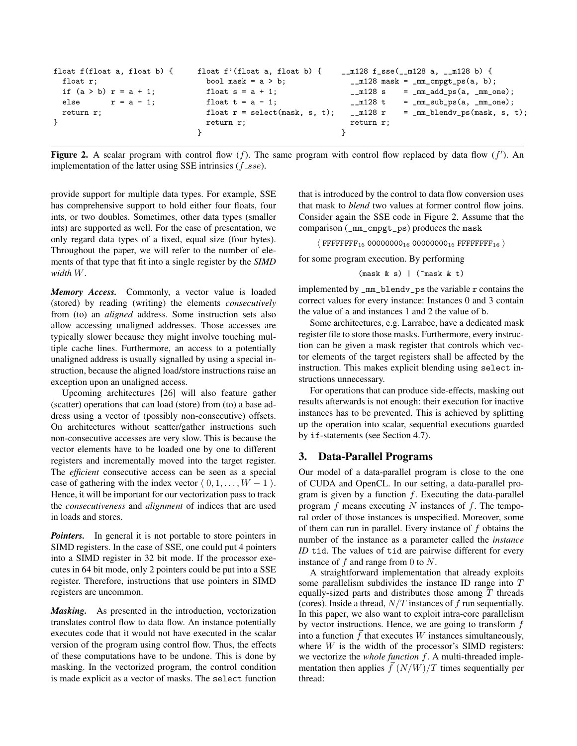| float $f(f$ loat a, float b) { | float $f'(float a, float b)$ {   | $_{-}m128 f_{-}sse(_{-}m128 a, _-m128 b)$ {    |
|--------------------------------|----------------------------------|------------------------------------------------|
| float $r$ ;                    | bool mask = $a > b$ ;            | $_{2}m128$ mask = $_{mm\_cmpgt\_ps(a, b)}$ ;   |
| if $(a > b)$ $r = a + 1$ ;     | float $s = a + 1$ ;              | $_{2}m128$ s = $_{mm\_add\_ps(a, mm\_one)}$ ;  |
| else $r = a - 1$ ;             | float $t = a - 1$ ;              | $_{2}m128$ t = $_{mm\_sub-ps}(a, _{mm\_one});$ |
| return r;                      | float $r = select(maxk, s, t)$ ; | = _mm_blendv_ps(mask, s, t);<br>$\_$ m128 r    |
|                                | return r;                        | return r;                                      |
|                                |                                  |                                                |

Figure 2. A scalar program with control flow  $(f)$ . The same program with control flow replaced by data flow  $(f')$ . An implementation of the latter using SSE intrinsics  $(f<sub>-</sub>sse)$ .

provide support for multiple data types. For example, SSE has comprehensive support to hold either four floats, four ints, or two doubles. Sometimes, other data types (smaller ints) are supported as well. For the ease of presentation, we only regard data types of a fixed, equal size (four bytes). Throughout the paper, we will refer to the number of elements of that type that fit into a single register by the *SIMD width* W.

*Memory Access.* Commonly, a vector value is loaded (stored) by reading (writing) the elements *consecutively* from (to) an *aligned* address. Some instruction sets also allow accessing unaligned addresses. Those accesses are typically slower because they might involve touching multiple cache lines. Furthermore, an access to a potentially unaligned address is usually signalled by using a special instruction, because the aligned load/store instructions raise an exception upon an unaligned access.

Upcoming architectures [26] will also feature gather (scatter) operations that can load (store) from (to) a base address using a vector of (possibly non-consecutive) offsets. On architectures without scatter/gather instructions such non-consecutive accesses are very slow. This is because the vector elements have to be loaded one by one to different registers and incrementally moved into the target register. The *efficient* consecutive access can be seen as a special case of gathering with the index vector  $\langle 0, 1, \ldots, W - 1 \rangle$ . Hence, it will be important for our vectorization pass to track the *consecutiveness* and *alignment* of indices that are used in loads and stores.

*Pointers.* In general it is not portable to store pointers in SIMD registers. In the case of SSE, one could put 4 pointers into a SIMD register in 32 bit mode. If the processor executes in 64 bit mode, only 2 pointers could be put into a SSE register. Therefore, instructions that use pointers in SIMD registers are uncommon.

*Masking.* As presented in the introduction, vectorization translates control flow to data flow. An instance potentially executes code that it would not have executed in the scalar version of the program using control flow. Thus, the effects of these computations have to be undone. This is done by masking. In the vectorized program, the control condition is made explicit as a vector of masks. The select function

that is introduced by the control to data flow conversion uses that mask to *blend* two values at former control flow joins. Consider again the SSE code in Figure 2. Assume that the comparison (\_mm\_cmpgt\_ps) produces the mask

 $\langle$  FFFFFFFF<sub>16</sub> 00000000<sub>16</sub> 000000000<sub>16</sub> FFFFFFFF<sub>16</sub>  $\rangle$ 

for some program execution. By performing

 $(mask & s)$  |  $(mask & t)$ 

implemented by \_mm\_blendv\_ps the variable r contains the correct values for every instance: Instances 0 and 3 contain the value of a and instances 1 and 2 the value of b.

Some architectures, e.g. Larrabee, have a dedicated mask register file to store those masks. Furthermore, every instruction can be given a mask register that controls which vector elements of the target registers shall be affected by the instruction. This makes explicit blending using select instructions unnecessary.

For operations that can produce side-effects, masking out results afterwards is not enough: their execution for inactive instances has to be prevented. This is achieved by splitting up the operation into scalar, sequential executions guarded by if-statements (see Section 4.7).

## 3. Data-Parallel Programs

Our model of a data-parallel program is close to the one of CUDA and OpenCL. In our setting, a data-parallel program is given by a function  $f$ . Executing the data-parallel program f means executing N instances of f. The temporal order of those instances is unspecified. Moreover, some of them can run in parallel. Every instance of  $f$  obtains the number of the instance as a parameter called the *instance ID* tid. The values of tid are pairwise different for every instance of f and range from 0 to  $N$ .

A straightforward implementation that already exploits some parallelism subdivides the instance ID range into T equally-sized parts and distributes those among  $T$  threads (cores). Inside a thread,  $N/T$  instances of f run sequentially. In this paper, we also want to exploit intra-core parallelism by vector instructions. Hence, we are going to transform  $f$ into a function  $\bar{f}$  that executes W instances simultaneously, where  $W$  is the width of the processor's SIMD registers: we vectorize the *whole function* f. A multi-threaded implementation then applies  $\bar{f}(N/W)/T$  times sequentially per thread: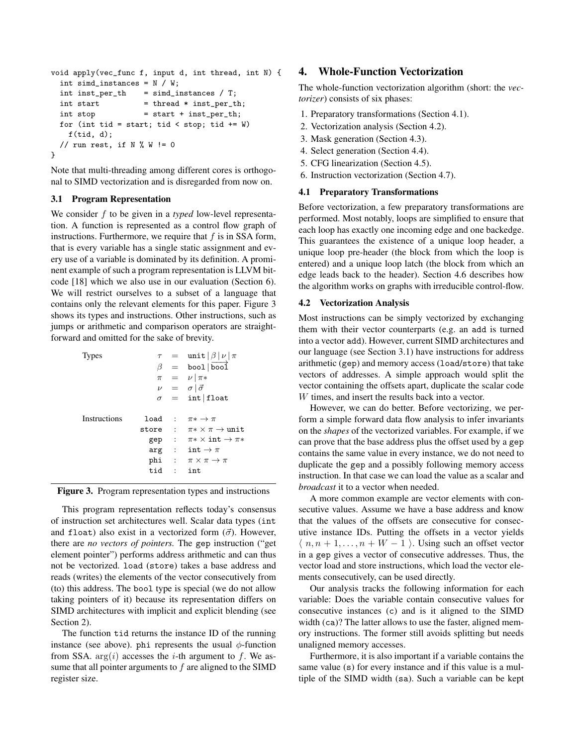```
void apply(vec_func f, input d, int thread, int N) {
int simd_instances = N / W;
int int inst_per_th = simd_instances / T;
int start = thread * inst_per_th;
int stop = start + inst_per_th;
for (int tid = start; tid < stop; tid += W)
  f(tid, d):
// run rest, if N % W = 0}
```
Note that multi-threading among different cores is orthogonal to SIMD vectorization and is disregarded from now on.

#### 3.1 Program Representation

We consider f to be given in a *typed* low-level representation. A function is represented as a control flow graph of instructions. Furthermore, we require that  $f$  is in SSA form, that is every variable has a single static assignment and every use of a variable is dominated by its definition. A prominent example of such a program representation is LLVM bitcode [18] which we also use in our evaluation (Section 6). We will restrict ourselves to a subset of a language that contains only the relevant elements for this paper. Figure 3 shows its types and instructions. Other instructions, such as jumps or arithmetic and comparison operators are straightforward and omitted for the sake of brevity.

| Types        |      |        | $\tau = \text{unit}  \beta \nu \pi$                |
|--------------|------|--------|----------------------------------------------------|
|              |      |        | $\beta = \text{bool}  \overrightarrow{bool} $      |
|              |      |        | $\pi = \nu  \pi*$                                  |
|              |      |        | $\nu = \sigma  \vec{\sigma} $                      |
|              |      |        | $\sigma$ = int   float                             |
|              |      |        |                                                    |
| Instructions |      |        | load : $\pi * \rightarrow \pi$                     |
|              |      |        | store : $\pi * \times \pi \rightarrow \text{unit}$ |
|              |      |        | gep : $\pi * \times int \rightarrow \pi *$         |
|              | arg: |        | int $\rightarrow \pi$                              |
|              |      |        | phi : $\pi \times \pi \to \pi$                     |
|              | tid  | $\sim$ | int                                                |
|              |      |        |                                                    |



This program representation reflects today's consensus of instruction set architectures well. Scalar data types (int and float) also exist in a vectorized form  $(\vec{\sigma})$ . However, there are *no vectors of pointers.* The gep instruction ("get element pointer") performs address arithmetic and can thus not be vectorized. load (store) takes a base address and reads (writes) the elements of the vector consecutively from (to) this address. The bool type is special (we do not allow taking pointers of it) because its representation differs on SIMD architectures with implicit and explicit blending (see Section 2).

The function tid returns the instance ID of the running instance (see above). phi represents the usual  $\phi$ -function from SSA. arg(i) accesses the *i*-th argument to f. We assume that all pointer arguments to  $f$  are aligned to the SIMD register size.

# 4. Whole-Function Vectorization

The whole-function vectorization algorithm (short: the *vectorizer*) consists of six phases:

- 1. Preparatory transformations (Section 4.1).
- 2. Vectorization analysis (Section 4.2).
- 3. Mask generation (Section 4.3).
- 4. Select generation (Section 4.4).
- 5. CFG linearization (Section 4.5).
- 6. Instruction vectorization (Section 4.7).

### 4.1 Preparatory Transformations

Before vectorization, a few preparatory transformations are performed. Most notably, loops are simplified to ensure that each loop has exactly one incoming edge and one backedge. This guarantees the existence of a unique loop header, a unique loop pre-header (the block from which the loop is entered) and a unique loop latch (the block from which an edge leads back to the header). Section 4.6 describes how the algorithm works on graphs with irreducible control-flow.

#### 4.2 Vectorization Analysis

Most instructions can be simply vectorized by exchanging them with their vector counterparts (e.g. an add is turned into a vector add). However, current SIMD architectures and our language (see Section 3.1) have instructions for address arithmetic (gep) and memory access (load/store) that take vectors of addresses. A simple approach would split the vector containing the offsets apart, duplicate the scalar code W times, and insert the results back into a vector.

However, we can do better. Before vectorizing, we perform a simple forward data flow analysis to infer invariants on the *shapes* of the vectorized variables. For example, if we can prove that the base address plus the offset used by a gep contains the same value in every instance, we do not need to duplicate the gep and a possibly following memory access instruction. In that case we can load the value as a scalar and *broadcast* it to a vector when needed.

A more common example are vector elements with consecutive values. Assume we have a base address and know that the values of the offsets are consecutive for consecutive instance IDs. Putting the offsets in a vector yields  $\langle n, n+1, \ldots, n+W-1 \rangle$ . Using such an offset vector in a gep gives a vector of consecutive addresses. Thus, the vector load and store instructions, which load the vector elements consecutively, can be used directly.

Our analysis tracks the following information for each variable: Does the variable contain consecutive values for consecutive instances (c) and is it aligned to the SIMD width (ca)? The latter allows to use the faster, aligned memory instructions. The former still avoids splitting but needs unaligned memory accesses.

Furthermore, it is also important if a variable contains the same value (s) for every instance and if this value is a multiple of the SIMD width (sa). Such a variable can be kept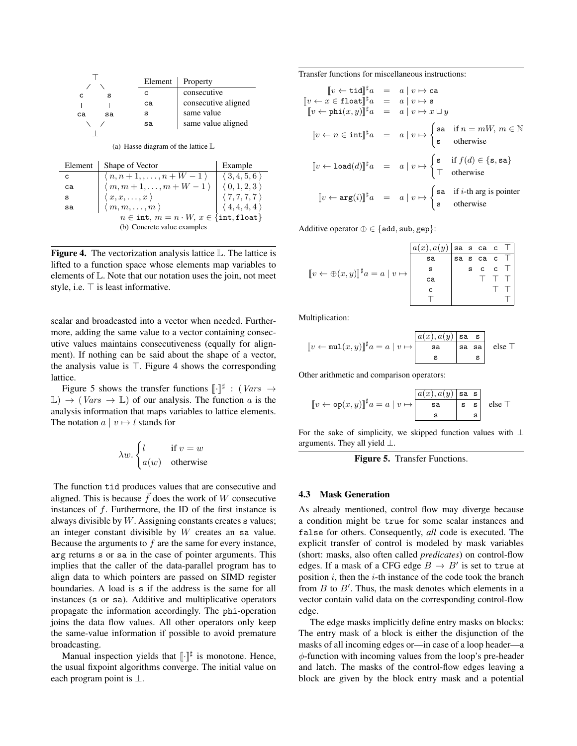|    |    |    | Element   Property  |
|----|----|----|---------------------|
|    |    | C. | consecutive         |
|    |    | ca | consecutive aligned |
| са | sa | s  | same value          |
|    |    | sa | same value aligned  |
|    |    |    |                     |

(a) Hasse diagram of the lattice  $\mathbb L$ 

| Element                                                                      | Shape of Vector                                                                    | Example                  |  |  |
|------------------------------------------------------------------------------|------------------------------------------------------------------------------------|--------------------------|--|--|
| C                                                                            |                                                                                    | (3, 4, 5, 6)             |  |  |
| ca                                                                           | $\langle n, n+1, \ldots, n+W-1 \rangle$<br>$\langle m, m+1, \ldots, m+W-1 \rangle$ | (0,1,2,3)                |  |  |
| s                                                                            | $\langle\,x,x,\ldots,x\,\rangle$                                                   | $\langle 7,7,7,7\rangle$ |  |  |
| sa                                                                           | $\langle m,m,\ldots,m\rangle$                                                      | (4, 4, 4, 4)             |  |  |
| $n \in \texttt{int}, m = n \cdot W, x \in \{\texttt{int}, \texttt{float}\}\$ |                                                                                    |                          |  |  |
| (b) Concrete value examples                                                  |                                                                                    |                          |  |  |

**Figure 4.** The vectorization analysis lattice  $\mathbb{L}$ . The lattice is lifted to a function space whose elements map variables to elements of L. Note that our notation uses the join, not meet style, i.e.  $\top$  is least informative.

scalar and broadcasted into a vector when needed. Furthermore, adding the same value to a vector containing consecutive values maintains consecutiveness (equally for alignment). If nothing can be said about the shape of a vector, the analysis value is  $\top$ . Figure 4 shows the corresponding lattice.

Figure 5 shows the transfer functions  $\llbracket \cdot \rrbracket^* : (Vars \rightarrow \mathbb{R})$  $\mathbb{L}$ )  $\rightarrow$  (*Vars*  $\rightarrow$   $\mathbb{L}$ ) of our analysis. The function a is the analysis information that maps variables to lattice elements. The notation  $a \mid v \mapsto l$  stands for

$$
\lambda w. \begin{cases} l & \text{if } v = w \\ a(w) & \text{otherwise} \end{cases}
$$

The function tid produces values that are consecutive and aligned. This is because  $\bar{f}$  does the work of W consecutive instances of  $f$ . Furthermore, the ID of the first instance is always divisible by  $W$ . Assigning constants creates  $s$  values; an integer constant divisible by  $W$  creates an sa value. Because the arguments to  $f$  are the same for every instance, arg returns s or sa in the case of pointer arguments. This implies that the caller of the data-parallel program has to align data to which pointers are passed on SIMD register boundaries. A load is s if the address is the same for all instances (s or sa). Additive and multiplicative operators propagate the information accordingly. The phi-operation joins the data flow values. All other operators only keep the same-value information if possible to avoid premature broadcasting.

Manual inspection yields that  $\llbracket \cdot \rrbracket^{\sharp}$  is monotone. Hence, usual fixed algorithms converge. The initial value on the usual fixpoint algorithms converge. The initial value on each program point is  $\perp$ .

Transfer functions for miscellaneous instructions:

 $\pm$ 

$$
[v \leftarrow \text{tid}]^{\sharp}a = a | v \mapsto \text{ca}
$$
  

$$
[v \leftarrow x \in \text{float}]^{\sharp}a = a | v \mapsto \text{s}
$$
  

$$
[v \leftarrow \text{phi}(x, y)]^{\sharp}a = a | v \mapsto x \sqcup y
$$
  

$$
[v \leftarrow n \in \text{int}]^{\sharp}a = a | v \mapsto \begin{cases} \text{sa} & \text{if } n = mW, m \in \mathbb{N} \\ \text{s} & \text{otherwise} \end{cases}
$$
  

$$
[v \leftarrow \text{load}(d)]^{\sharp}a = a | v \mapsto \begin{cases} \text{s} & \text{if } f(d) \in \{\text{s}, \text{sa}\} \\ \top & \text{otherwise} \end{cases}
$$
  

$$
[v \leftarrow \text{arg}(i)]^{\sharp}a = a | v \mapsto \begin{cases} \text{sa} & \text{if } i \text{-th arg is pointer} \\ \text{s} & \text{otherwise} \end{cases}
$$

Additive operator  $oplus \in \{add, sub, gep\}$ :

$$
[v \leftarrow \oplus (x, y)]^{\sharp} a = a | v \mapsto \begin{array}{c|c} \hline a(x), a(y) & \text{sa} & \text{s} & \text{ca} & \text{c} & \text{T} \\ \hline \text{sa} & \text{sa} & \text{s} & \text{ca} & \text{c} & \text{T} \\ \text{ca} & & & & \text{T} & \text{T} \\ & & & & & \text{T} & \text{T} \\ & & & & & \text{T} & \text{T} \\ & & & & & & \text{T} & \text{T} \\ \hline \end{array}
$$

Multiplication:

$$
[\![v \leftarrow \texttt{mul}(x, y)]\!]^{\sharp} a = a \mid v \mapsto \begin{array}{|c|c|c|} \hline a(x), a(y) & \texttt{sa} & \texttt{s} \\ \hline \texttt{sa} & \texttt{sa} & \texttt{sa} & \texttt{else} \end{array} \text{ else } \top
$$

Other arithmetic and comparison operators:

$$
[\![v \leftarrow \mathtt{op}(x,y)]\!]^\sharp a = a \mid v \mapsto \begin{array}{|c|c|} \hline a(x),a(y) & \texttt{sa} & \texttt{s} \\ \hline \mathtt{sa} & \mathtt{s} & \mathtt{s} \\ \hline \mathtt{s} & \mathtt{s} & \mathtt{s} \end{array} \text{ else } \top
$$

For the sake of simplicity, we skipped function values with  $\perp$ arguments. They all yield  $\perp$ .

Figure 5. Transfer Functions.

#### 4.3 Mask Generation

As already mentioned, control flow may diverge because a condition might be true for some scalar instances and false for others. Consequently, *all* code is executed. The explicit transfer of control is modeled by mask variables (short: masks, also often called *predicates*) on control-flow edges. If a mask of a CFG edge  $B \to B'$  is set to true at position  $i$ , then the  $i$ -th instance of the code took the branch from  $B$  to  $B'$ . Thus, the mask denotes which elements in a vector contain valid data on the corresponding control-flow edge.

The edge masks implicitly define entry masks on blocks: The entry mask of a block is either the disjunction of the masks of all incoming edges or—in case of a loop header—a  $\phi$ -function with incoming values from the loop's pre-header and latch. The masks of the control-flow edges leaving a block are given by the block entry mask and a potential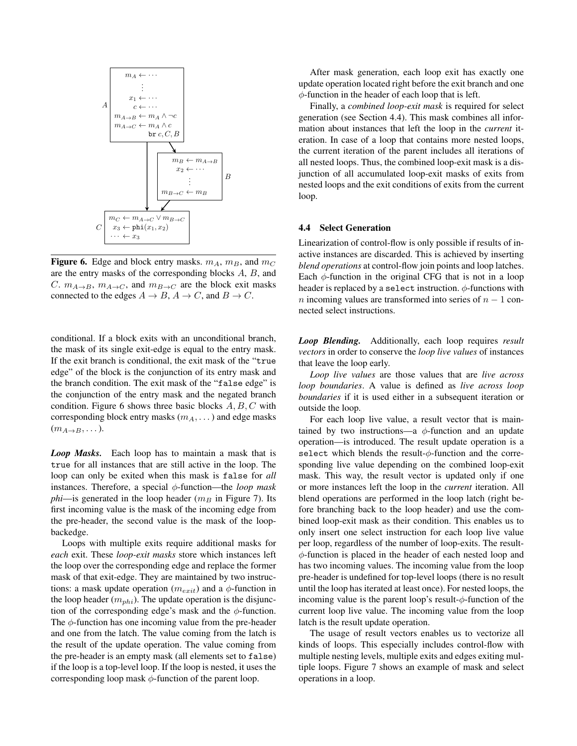

Figure 6. Edge and block entry masks.  $m_A$ ,  $m_B$ , and  $m_C$ are the entry masks of the corresponding blocks A, B, and C.  $m_{A\rightarrow B}$ ,  $m_{A\rightarrow C}$ , and  $m_{B\rightarrow C}$  are the block exit masks connected to the edges  $A \to B$ ,  $A \to C$ , and  $B \to C$ .

conditional. If a block exits with an unconditional branch, the mask of its single exit-edge is equal to the entry mask. If the exit branch is conditional, the exit mask of the "true edge" of the block is the conjunction of its entry mask and the branch condition. The exit mask of the "false edge" is the conjunction of the entry mask and the negated branch condition. Figure 6 shows three basic blocks  $A, B, C$  with corresponding block entry masks  $(m_A, \dots)$  and edge masks  $(m_{A\rightarrow B}, \dots).$ 

*Loop Masks.* Each loop has to maintain a mask that is true for all instances that are still active in the loop. The loop can only be exited when this mask is false for *all* instances. Therefore, a special φ-function—the *loop mask*  $phi$ —is generated in the loop header ( $m_B$  in Figure 7). Its first incoming value is the mask of the incoming edge from the pre-header, the second value is the mask of the loopbackedge.

Loops with multiple exits require additional masks for *each* exit. These *loop-exit masks* store which instances left the loop over the corresponding edge and replace the former mask of that exit-edge. They are maintained by two instructions: a mask update operation ( $m_{exit}$ ) and a  $\phi$ -function in the loop header  $(m_{phi})$ . The update operation is the disjunction of the corresponding edge's mask and the  $\phi$ -function. The  $\phi$ -function has one incoming value from the pre-header and one from the latch. The value coming from the latch is the result of the update operation. The value coming from the pre-header is an empty mask (all elements set to false) if the loop is a top-level loop. If the loop is nested, it uses the corresponding loop mask  $\phi$ -function of the parent loop.

After mask generation, each loop exit has exactly one update operation located right before the exit branch and one  $\phi$ -function in the header of each loop that is left.

Finally, a *combined loop-exit mask* is required for select generation (see Section 4.4). This mask combines all information about instances that left the loop in the *current* iteration. In case of a loop that contains more nested loops, the current iteration of the parent includes all iterations of all nested loops. Thus, the combined loop-exit mask is a disjunction of all accumulated loop-exit masks of exits from nested loops and the exit conditions of exits from the current loop.

#### 4.4 Select Generation

Linearization of control-flow is only possible if results of inactive instances are discarded. This is achieved by inserting *blend operations* at control-flow join points and loop latches. Each  $\phi$ -function in the original CFG that is not in a loop header is replaced by a select instruction.  $\phi$ -functions with n incoming values are transformed into series of  $n - 1$  connected select instructions.

*Loop Blending.* Additionally, each loop requires *result vectors* in order to conserve the *loop live values* of instances that leave the loop early.

*Loop live values* are those values that are *live across loop boundaries*. A value is defined as *live across loop boundaries* if it is used either in a subsequent iteration or outside the loop.

For each loop live value, a result vector that is maintained by two instructions—a  $\phi$ -function and an update operation—is introduced. The result update operation is a select which blends the result- $\phi$ -function and the corresponding live value depending on the combined loop-exit mask. This way, the result vector is updated only if one or more instances left the loop in the *current* iteration. All blend operations are performed in the loop latch (right before branching back to the loop header) and use the combined loop-exit mask as their condition. This enables us to only insert one select instruction for each loop live value per loop, regardless of the number of loop-exits. The result- $\phi$ -function is placed in the header of each nested loop and has two incoming values. The incoming value from the loop pre-header is undefined for top-level loops (there is no result until the loop has iterated at least once). For nested loops, the incoming value is the parent loop's result- $\phi$ -function of the current loop live value. The incoming value from the loop latch is the result update operation.

The usage of result vectors enables us to vectorize all kinds of loops. This especially includes control-flow with multiple nesting levels, multiple exits and edges exiting multiple loops. Figure 7 shows an example of mask and select operations in a loop.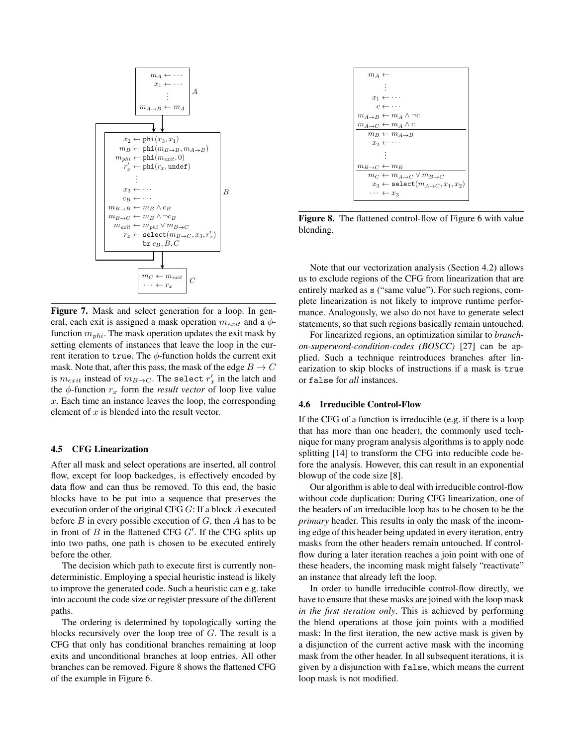

Figure 7. Mask and select generation for a loop. In general, each exit is assigned a mask operation  $m_{exit}$  and a  $\phi$ function  $m_{phi}$ . The mask operation updates the exit mask by setting elements of instances that leave the loop in the current iteration to true. The  $\phi$ -function holds the current exit mask. Note that, after this pass, the mask of the edge  $B \to C$ is  $m_{exit}$  instead of  $m_{B\rightarrow C}$ . The select  $r'_x$  in the latch and the  $\phi$ -function  $r_x$  form the *result vector* of loop live value  $x$ . Each time an instance leaves the loop, the corresponding element of  $x$  is blended into the result vector.

#### 4.5 CFG Linearization

After all mask and select operations are inserted, all control flow, except for loop backedges, is effectively encoded by data flow and can thus be removed. To this end, the basic blocks have to be put into a sequence that preserves the execution order of the original CFG G: If a block A executed before  $B$  in every possible execution of  $G$ , then  $A$  has to be in front of  $B$  in the flattened CFG  $G'$ . If the CFG splits up into two paths, one path is chosen to be executed entirely before the other.

The decision which path to execute first is currently nondeterministic. Employing a special heuristic instead is likely to improve the generated code. Such a heuristic can e.g. take into account the code size or register pressure of the different paths.

The ordering is determined by topologically sorting the blocks recursively over the loop tree of G. The result is a CFG that only has conditional branches remaining at loop exits and unconditional branches at loop entries. All other branches can be removed. Figure 8 shows the flattened CFG of the example in Figure 6.

$$
m_A \leftarrow
$$
\n
$$
\vdots
$$
\n
$$
x_1 \leftarrow \cdots
$$
\n
$$
c \leftarrow \cdots
$$
\n
$$
m_{A \to B} \leftarrow m_A \land \neg c
$$
\n
$$
m_{A \to C} \leftarrow m_A \land c
$$
\n
$$
m_B \leftarrow m_{A \to B}
$$
\n
$$
x_2 \leftarrow \cdots
$$
\n
$$
\vdots
$$
\n
$$
m_B \leftarrow m_{A \to C} \lor m_{B \to C}
$$
\n
$$
\vdots
$$
\n
$$
m_C \leftarrow m_{A \to C} \lor m_{B \to C}
$$
\n
$$
x_3 \leftarrow \text{select}(m_{A \to C}, x_1, x_2)
$$
\n
$$
\cdots \leftarrow x_3
$$

Figure 8. The flattened control-flow of Figure 6 with value blending.

Note that our vectorization analysis (Section 4.2) allows us to exclude regions of the CFG from linearization that are entirely marked as s ("same value"). For such regions, complete linearization is not likely to improve runtime performance. Analogously, we also do not have to generate select statements, so that such regions basically remain untouched.

For linearized regions, an optimization similar to *branchon-superword-condition-codes (BOSCC)* [27] can be applied. Such a technique reintroduces branches after linearization to skip blocks of instructions if a mask is true or false for *all* instances.

#### 4.6 Irreducible Control-Flow

If the CFG of a function is irreducible (e.g. if there is a loop that has more than one header), the commonly used technique for many program analysis algorithms is to apply node splitting [14] to transform the CFG into reducible code before the analysis. However, this can result in an exponential blowup of the code size [8].

Our algorithm is able to deal with irreducible control-flow without code duplication: During CFG linearization, one of the headers of an irreducible loop has to be chosen to be the *primary* header. This results in only the mask of the incoming edge of this header being updated in every iteration, entry masks from the other headers remain untouched. If controlflow during a later iteration reaches a join point with one of these headers, the incoming mask might falsely "reactivate" an instance that already left the loop.

In order to handle irreducible control-flow directly, we have to ensure that these masks are joined with the loop mask *in the first iteration only*. This is achieved by performing the blend operations at those join points with a modified mask: In the first iteration, the new active mask is given by a disjunction of the current active mask with the incoming mask from the other header. In all subsequent iterations, it is given by a disjunction with false, which means the current loop mask is not modified.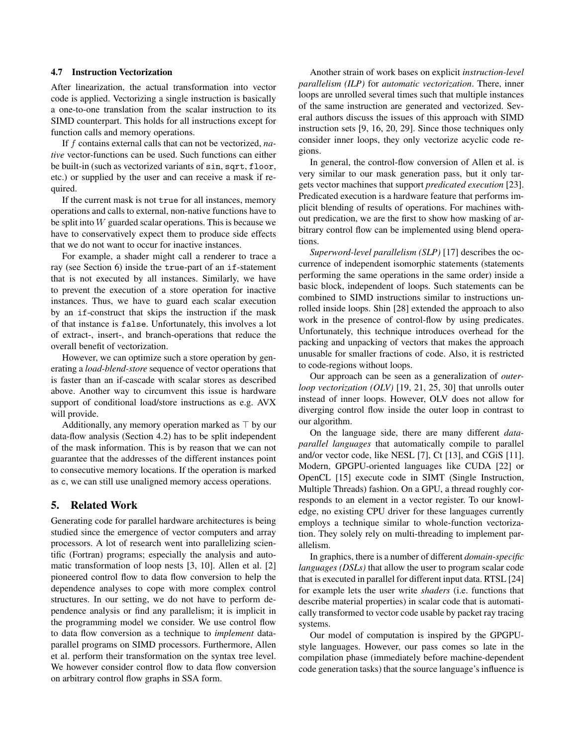## 4.7 Instruction Vectorization

After linearization, the actual transformation into vector code is applied. Vectorizing a single instruction is basically a one-to-one translation from the scalar instruction to its SIMD counterpart. This holds for all instructions except for function calls and memory operations.

If f contains external calls that can not be vectorized, *native* vector-functions can be used. Such functions can either be built-in (such as vectorized variants of sin, sqrt, floor, etc.) or supplied by the user and can receive a mask if required.

If the current mask is not true for all instances, memory operations and calls to external, non-native functions have to be split into W guarded scalar operations. This is because we have to conservatively expect them to produce side effects that we do not want to occur for inactive instances.

For example, a shader might call a renderer to trace a ray (see Section 6) inside the true-part of an if-statement that is not executed by all instances. Similarly, we have to prevent the execution of a store operation for inactive instances. Thus, we have to guard each scalar execution by an if-construct that skips the instruction if the mask of that instance is false. Unfortunately, this involves a lot of extract-, insert-, and branch-operations that reduce the overall benefit of vectorization.

However, we can optimize such a store operation by generating a *load-blend-store* sequence of vector operations that is faster than an if-cascade with scalar stores as described above. Another way to circumvent this issue is hardware support of conditional load/store instructions as e.g. AVX will provide.

Additionally, any memory operation marked as  $\top$  by our data-flow analysis (Section 4.2) has to be split independent of the mask information. This is by reason that we can not guarantee that the addresses of the different instances point to consecutive memory locations. If the operation is marked as c, we can still use unaligned memory access operations.

## 5. Related Work

Generating code for parallel hardware architectures is being studied since the emergence of vector computers and array processors. A lot of research went into parallelizing scientific (Fortran) programs; especially the analysis and automatic transformation of loop nests [3, 10]. Allen et al. [2] pioneered control flow to data flow conversion to help the dependence analyses to cope with more complex control structures. In our setting, we do not have to perform dependence analysis or find any parallelism; it is implicit in the programming model we consider. We use control flow to data flow conversion as a technique to *implement* dataparallel programs on SIMD processors. Furthermore, Allen et al. perform their transformation on the syntax tree level. We however consider control flow to data flow conversion on arbitrary control flow graphs in SSA form.

Another strain of work bases on explicit *instruction-level parallelism (ILP)* for *automatic vectorization*. There, inner loops are unrolled several times such that multiple instances of the same instruction are generated and vectorized. Several authors discuss the issues of this approach with SIMD instruction sets [9, 16, 20, 29]. Since those techniques only consider inner loops, they only vectorize acyclic code regions.

In general, the control-flow conversion of Allen et al. is very similar to our mask generation pass, but it only targets vector machines that support *predicated execution* [23]. Predicated execution is a hardware feature that performs implicit blending of results of operations. For machines without predication, we are the first to show how masking of arbitrary control flow can be implemented using blend operations.

*Superword-level parallelism (SLP)* [17] describes the occurrence of independent isomorphic statements (statements performing the same operations in the same order) inside a basic block, independent of loops. Such statements can be combined to SIMD instructions similar to instructions unrolled inside loops. Shin [28] extended the approach to also work in the presence of control-flow by using predicates. Unfortunately, this technique introduces overhead for the packing and unpacking of vectors that makes the approach unusable for smaller fractions of code. Also, it is restricted to code-regions without loops.

Our approach can be seen as a generalization of *outerloop vectorization (OLV)* [19, 21, 25, 30] that unrolls outer instead of inner loops. However, OLV does not allow for diverging control flow inside the outer loop in contrast to our algorithm.

On the language side, there are many different *dataparallel languages* that automatically compile to parallel and/or vector code, like NESL [7], Ct [13], and CGiS [11]. Modern, GPGPU-oriented languages like CUDA [22] or OpenCL [15] execute code in SIMT (Single Instruction, Multiple Threads) fashion. On a GPU, a thread roughly corresponds to an element in a vector register. To our knowledge, no existing CPU driver for these languages currently employs a technique similar to whole-function vectorization. They solely rely on multi-threading to implement parallelism.

In graphics, there is a number of different *domain-specific languages (DSLs)* that allow the user to program scalar code that is executed in parallel for different input data. RTSL [24] for example lets the user write *shaders* (i.e. functions that describe material properties) in scalar code that is automatically transformed to vector code usable by packet ray tracing systems.

Our model of computation is inspired by the GPGPUstyle languages. However, our pass comes so late in the compilation phase (immediately before machine-dependent code generation tasks) that the source language's influence is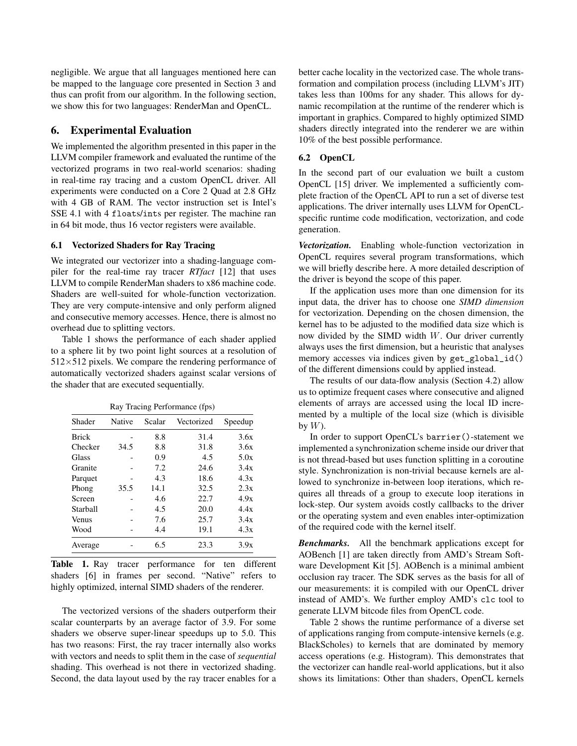negligible. We argue that all languages mentioned here can be mapped to the language core presented in Section 3 and thus can profit from our algorithm. In the following section, we show this for two languages: RenderMan and OpenCL.

# 6. Experimental Evaluation

We implemented the algorithm presented in this paper in the LLVM compiler framework and evaluated the runtime of the vectorized programs in two real-world scenarios: shading in real-time ray tracing and a custom OpenCL driver. All experiments were conducted on a Core 2 Quad at 2.8 GHz with 4 GB of RAM. The vector instruction set is Intel's SSE 4.1 with 4 floats/ints per register. The machine ran in 64 bit mode, thus 16 vector registers were available.

#### 6.1 Vectorized Shaders for Ray Tracing

We integrated our vectorizer into a shading-language compiler for the real-time ray tracer *RTfact* [12] that uses LLVM to compile RenderMan shaders to x86 machine code. Shaders are well-suited for whole-function vectorization. They are very compute-intensive and only perform aligned and consecutive memory accesses. Hence, there is almost no overhead due to splitting vectors.

Table 1 shows the performance of each shader applied to a sphere lit by two point light sources at a resolution of  $512\times512$  pixels. We compare the rendering performance of automatically vectorized shaders against scalar versions of the shader that are executed sequentially.

| $\alpha$ racing a criorimance (rps) |        |        |            |         |  |
|-------------------------------------|--------|--------|------------|---------|--|
| Shader                              | Native | Scalar | Vectorized | Speedup |  |
| Brick                               |        | 8.8    | 31.4       | 3.6x    |  |
| Checker                             | 34.5   | 8.8    | 31.8       | 3.6x    |  |
| Glass                               |        | 0.9    | 4.5        | 5.0x    |  |
| Granite                             |        | 7.2    | 24.6       | 3.4x    |  |
| Parquet                             |        | 4.3    | 18.6       | 4.3x    |  |
| Phong                               | 35.5   | 14.1   | 32.5       | 2.3x    |  |
| Screen                              |        | 4.6    | 22.7       | 4.9x    |  |
| Starball                            |        | 4.5    | 20.0       | 4.4x    |  |
| Venus                               |        | 7.6    | 25.7       | 3.4x    |  |
| Wood                                |        | 4.4    | 19.1       | 4.3x    |  |
|                                     |        |        |            |         |  |

Ray Tracing Performance (fps)

Table 1. Ray tracer performance for ten different shaders [6] in frames per second. "Native" refers to highly optimized, internal SIMD shaders of the renderer.

Average - 6.5 23.3 3.9x

The vectorized versions of the shaders outperform their scalar counterparts by an average factor of 3.9. For some shaders we observe super-linear speedups up to 5.0. This has two reasons: First, the ray tracer internally also works with vectors and needs to split them in the case of *sequential* shading. This overhead is not there in vectorized shading. Second, the data layout used by the ray tracer enables for a

better cache locality in the vectorized case. The whole transformation and compilation process (including LLVM's JIT) takes less than 100ms for any shader. This allows for dynamic recompilation at the runtime of the renderer which is important in graphics. Compared to highly optimized SIMD shaders directly integrated into the renderer we are within 10% of the best possible performance.

#### 6.2 OpenCL

In the second part of our evaluation we built a custom OpenCL [15] driver. We implemented a sufficiently complete fraction of the OpenCL API to run a set of diverse test applications. The driver internally uses LLVM for OpenCLspecific runtime code modification, vectorization, and code generation.

*Vectorization.* Enabling whole-function vectorization in OpenCL requires several program transformations, which we will briefly describe here. A more detailed description of the driver is beyond the scope of this paper.

If the application uses more than one dimension for its input data, the driver has to choose one *SIMD dimension* for vectorization. Depending on the chosen dimension, the kernel has to be adjusted to the modified data size which is now divided by the SIMD width W. Our driver currently always uses the first dimension, but a heuristic that analyses memory accesses via indices given by get\_global\_id() of the different dimensions could by applied instead.

The results of our data-flow analysis (Section 4.2) allow us to optimize frequent cases where consecutive and aligned elements of arrays are accessed using the local ID incremented by a multiple of the local size (which is divisible by  $W$ ).

In order to support OpenCL's barrier()-statement we implemented a synchronization scheme inside our driver that is not thread-based but uses function splitting in a coroutine style. Synchronization is non-trivial because kernels are allowed to synchronize in-between loop iterations, which requires all threads of a group to execute loop iterations in lock-step. Our system avoids costly callbacks to the driver or the operating system and even enables inter-optimization of the required code with the kernel itself.

*Benchmarks.* All the benchmark applications except for AOBench [1] are taken directly from AMD's Stream Software Development Kit [5]. AOBench is a minimal ambient occlusion ray tracer. The SDK serves as the basis for all of our measurements: it is compiled with our OpenCL driver instead of AMD's. We further employ AMD's clc tool to generate LLVM bitcode files from OpenCL code.

Table 2 shows the runtime performance of a diverse set of applications ranging from compute-intensive kernels (e.g. BlackScholes) to kernels that are dominated by memory access operations (e.g. Histogram). This demonstrates that the vectorizer can handle real-world applications, but it also shows its limitations: Other than shaders, OpenCL kernels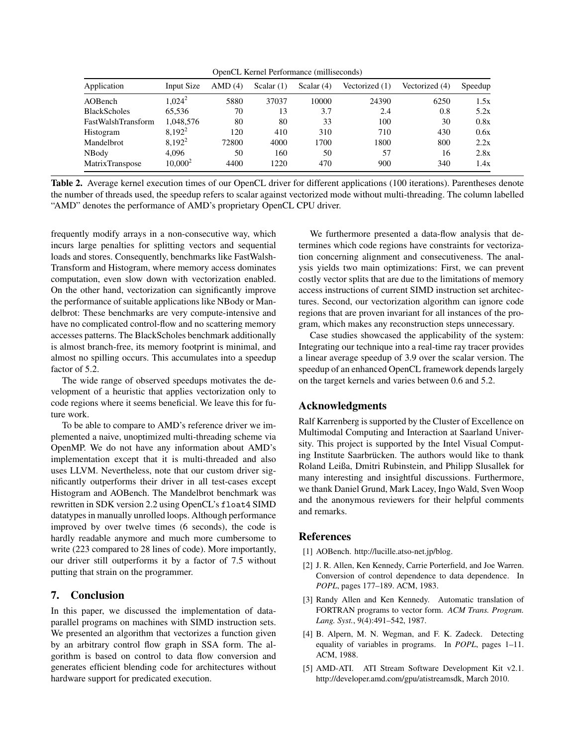OpenCL Kernel Performance (milliseconds)

| Application               | Input Size  | AMD(4) | Scalar $(1)$ | Scalar $(4)$ | Vectorized (1) | Vectorized (4) | Speedup |
|---------------------------|-------------|--------|--------------|--------------|----------------|----------------|---------|
| <b>AOBench</b>            | $1.024^2$   | 5880   | 37037        | 10000        | 24390          | 6250           | 1.5x    |
| <b>BlackScholes</b>       | 65.536      | 70     | 13           | 3.7          | 2.4            | 0.8            | 5.2x    |
| <b>FastWalshTransform</b> | 1,048,576   | 80     | 80           | 33           | 100            | 30             | 0.8x    |
| Histogram                 | $8.192^{2}$ | 120    | 410          | 310          | 710            | 430            | 0.6x    |
| Mandelbrot                | $8.192^2$   | 72800  | 4000         | 1700         | 1800           | 800            | 2.2x    |
| <b>NBody</b>              | 4.096       | 50     | 160          | 50           | 57             | 16             | 2.8x    |
| <b>MatrixTranspose</b>    | $10,000^2$  | 4400   | 1220         | 470          | 900            | 340            | 1.4x    |

Table 2. Average kernel execution times of our OpenCL driver for different applications (100 iterations). Parentheses denote the number of threads used, the speedup refers to scalar against vectorized mode without multi-threading. The column labelled "AMD" denotes the performance of AMD's proprietary OpenCL CPU driver.

frequently modify arrays in a non-consecutive way, which incurs large penalties for splitting vectors and sequential loads and stores. Consequently, benchmarks like FastWalsh-Transform and Histogram, where memory access dominates computation, even slow down with vectorization enabled. On the other hand, vectorization can significantly improve the performance of suitable applications like NBody or Mandelbrot: These benchmarks are very compute-intensive and have no complicated control-flow and no scattering memory accesses patterns. The BlackScholes benchmark additionally is almost branch-free, its memory footprint is minimal, and almost no spilling occurs. This accumulates into a speedup factor of 5.2.

The wide range of observed speedups motivates the development of a heuristic that applies vectorization only to code regions where it seems beneficial. We leave this for future work.

To be able to compare to AMD's reference driver we implemented a naive, unoptimized multi-threading scheme via OpenMP. We do not have any information about AMD's implementation except that it is multi-threaded and also uses LLVM. Nevertheless, note that our custom driver significantly outperforms their driver in all test-cases except Histogram and AOBench. The Mandelbrot benchmark was rewritten in SDK version 2.2 using OpenCL's float4 SIMD datatypes in manually unrolled loops. Although performance improved by over twelve times (6 seconds), the code is hardly readable anymore and much more cumbersome to write (223 compared to 28 lines of code). More importantly, our driver still outperforms it by a factor of 7.5 without putting that strain on the programmer.

# 7. Conclusion

In this paper, we discussed the implementation of dataparallel programs on machines with SIMD instruction sets. We presented an algorithm that vectorizes a function given by an arbitrary control flow graph in SSA form. The algorithm is based on control to data flow conversion and generates efficient blending code for architectures without hardware support for predicated execution.

We furthermore presented a data-flow analysis that determines which code regions have constraints for vectorization concerning alignment and consecutiveness. The analysis yields two main optimizations: First, we can prevent costly vector splits that are due to the limitations of memory access instructions of current SIMD instruction set architectures. Second, our vectorization algorithm can ignore code regions that are proven invariant for all instances of the program, which makes any reconstruction steps unnecessary.

Case studies showcased the applicability of the system: Integrating our technique into a real-time ray tracer provides a linear average speedup of 3.9 over the scalar version. The speedup of an enhanced OpenCL framework depends largely on the target kernels and varies between 0.6 and 5.2.

## Acknowledgments

Ralf Karrenberg is supported by the Cluster of Excellence on Multimodal Computing and Interaction at Saarland University. This project is supported by the Intel Visual Computing Institute Saarbrücken. The authors would like to thank Roland Leißa, Dmitri Rubinstein, and Philipp Slusallek for many interesting and insightful discussions. Furthermore, we thank Daniel Grund, Mark Lacey, Ingo Wald, Sven Woop and the anonymous reviewers for their helpful comments and remarks.

## References

- [1] AOBench. http://lucille.atso-net.jp/blog.
- [2] J. R. Allen, Ken Kennedy, Carrie Porterfield, and Joe Warren. Conversion of control dependence to data dependence. In *POPL*, pages 177–189. ACM, 1983.
- [3] Randy Allen and Ken Kennedy. Automatic translation of FORTRAN programs to vector form. *ACM Trans. Program. Lang. Syst.*, 9(4):491–542, 1987.
- [4] B. Alpern, M. N. Wegman, and F. K. Zadeck. Detecting equality of variables in programs. In *POPL*, pages 1–11. ACM, 1988.
- [5] AMD-ATI. ATI Stream Software Development Kit v2.1. http://developer.amd.com/gpu/atistreamsdk, March 2010.